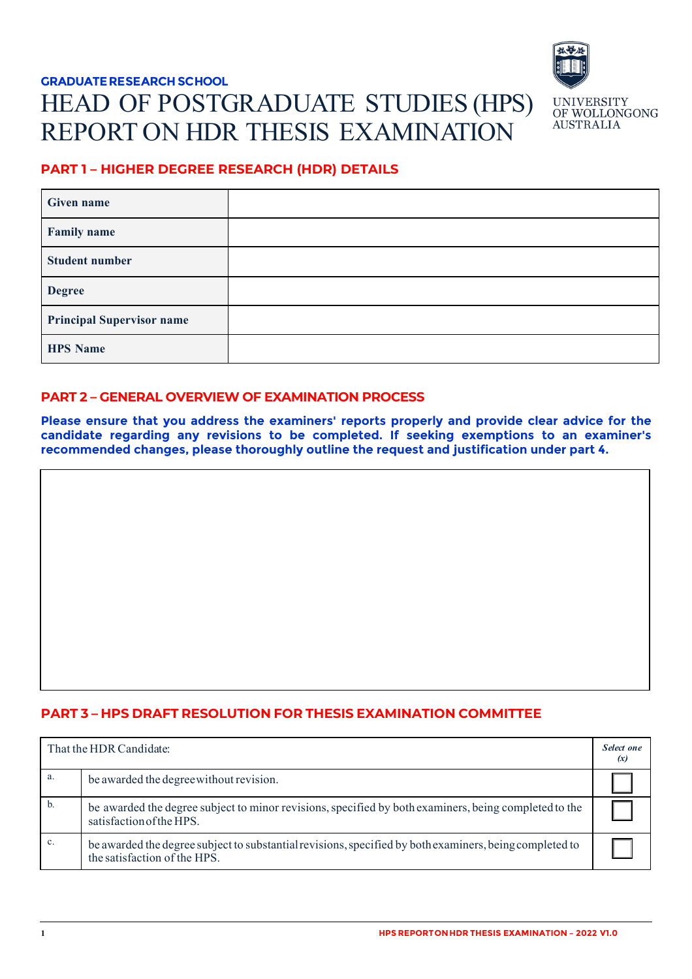# **GRADUATE RESEARCH SCHOOL**  HEAD OF POSTGRADUATE STUDIES (HPS) REPORT ON HDR THESIS EXAMINATION



# **PART 1 – HIGHER DEGREE RESEARCH (HDR) DETAILS**

| <b>Given name</b>                |  |
|----------------------------------|--|
| <b>Family name</b>               |  |
| <b>Student number</b>            |  |
| <b>Degree</b>                    |  |
| <b>Principal Supervisor name</b> |  |
| <b>HPS Name</b>                  |  |

# **PART 2 – GENERAL OVERVIEW OF EXAMINATION PROCESS**

**Please ensure that you address the examiners' reports properly and provide clear advice for the candidate regarding any revisions to be completed. If seeking exemptions to an examiner's recommended changes, please thoroughly outline the request and justification under part 4.**

## **PART 3 – HPS DRAFT RESOLUTION FOR THESIS EXAMINATION COMMITTEE**

| That the HDR Candidate: |                                                                                                                                         | Select one<br>(x) |
|-------------------------|-----------------------------------------------------------------------------------------------------------------------------------------|-------------------|
| a.                      | be awarded the degree without revision.                                                                                                 |                   |
| b.                      | be awarded the degree subject to minor revisions, specified by both examiners, being completed to the<br>satisfaction of the HPS.       |                   |
| $\mathbf{c}$ .          | be awarded the degree subject to substantial revisions, specified by both examiners, being completed to<br>the satisfaction of the HPS. |                   |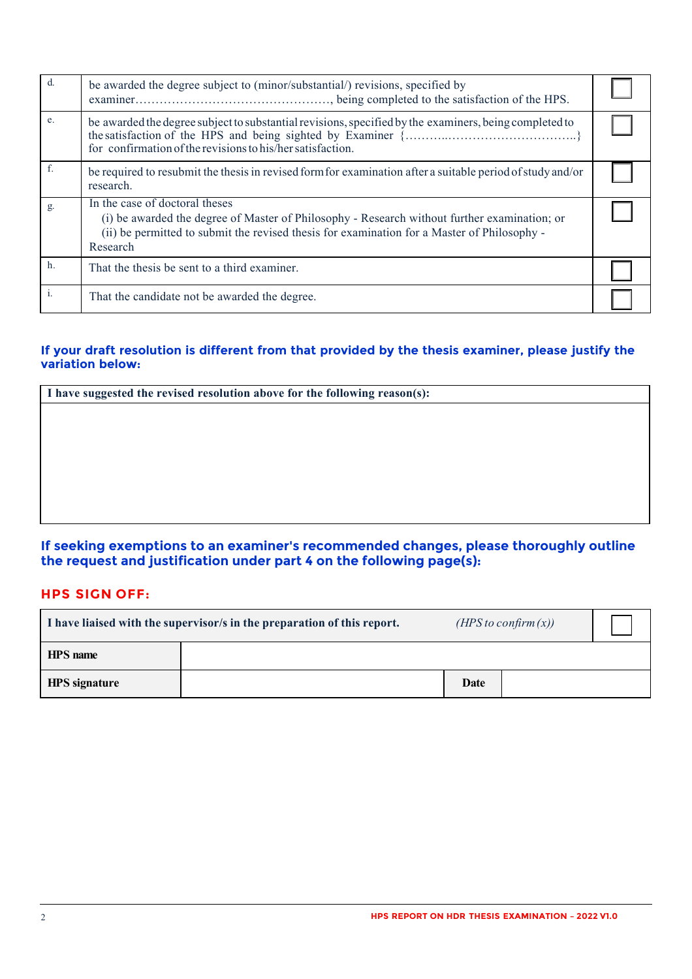| d.          | be awarded the degree subject to (minor/substantial/) revisions, specified by                                                                                                                                                             |  |
|-------------|-------------------------------------------------------------------------------------------------------------------------------------------------------------------------------------------------------------------------------------------|--|
| e.          | be awarded the degree subject to substantial revisions, specified by the examiners, being completed to<br>for confirmation of the revisions to his/her satisfaction.                                                                      |  |
| $f_{\cdot}$ | be required to resubmit the thesis in revised form for examination after a suitable period of study and/or<br>research.                                                                                                                   |  |
| g.          | In the case of doctoral theses<br>(i) be awarded the degree of Master of Philosophy - Research without further examination; or<br>(ii) be permitted to submit the revised thesis for examination for a Master of Philosophy -<br>Research |  |
| $h$ .       | That the thesis be sent to a third examiner.                                                                                                                                                                                              |  |
| i.          | That the candidate not be awarded the degree.                                                                                                                                                                                             |  |

#### **If your draft resolution is different from that provided by the thesis examiner, please justify the variation below:**

| I have suggested the revised resolution above for the following reason(s): |  |  |  |  |
|----------------------------------------------------------------------------|--|--|--|--|
|                                                                            |  |  |  |  |
|                                                                            |  |  |  |  |
|                                                                            |  |  |  |  |
|                                                                            |  |  |  |  |
|                                                                            |  |  |  |  |
|                                                                            |  |  |  |  |

### **If seeking exemptions to an examiner's recommended changes, please thoroughly outline the request and justification under part 4 on the following page(s):**

# **HPS SIGN OFF:**

| ( <i>HPS</i> to confirm $(x)$ )<br>I have liaised with the supervisor/s in the preparation of this report. |  |      |  |
|------------------------------------------------------------------------------------------------------------|--|------|--|
| <b>HPS</b> name                                                                                            |  |      |  |
| <b>HPS</b> signature                                                                                       |  | Date |  |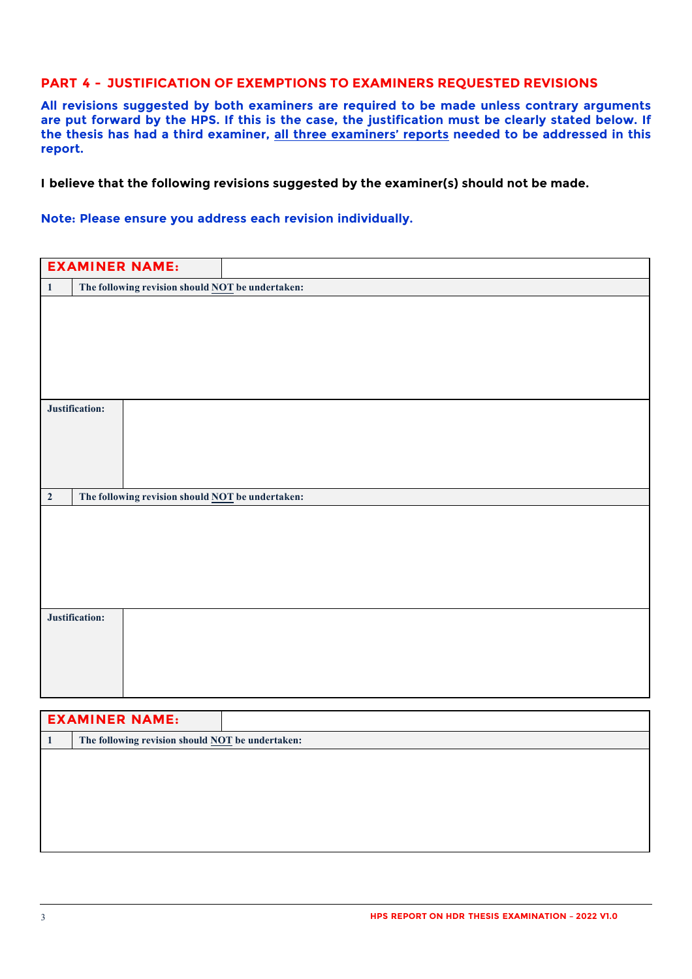#### **PART 4 - JUSTIFICATION OF EXEMPTIONS TO EXAMINERS REQUESTED REVISIONS**

**All revisions suggested by both examiners are required to be made unless contrary arguments are put forward by the HPS. If this is the case, the justification must be clearly stated below. If the thesis has had a third examiner, all three examiners' reports needed to be addressed in this report.** 

**I believe that the following revisions suggested by the examiner(s) should not be made.**

**Note: Please ensure you address each revision individually.** 

|              | <b>EXAMINER NAME:</b>                                   |                                                  |  |
|--------------|---------------------------------------------------------|--------------------------------------------------|--|
|              |                                                         |                                                  |  |
| $\mathbf{1}$ | The following revision should <b>NOT</b> be undertaken: |                                                  |  |
|              |                                                         |                                                  |  |
|              |                                                         |                                                  |  |
|              |                                                         |                                                  |  |
|              |                                                         |                                                  |  |
|              |                                                         |                                                  |  |
|              |                                                         |                                                  |  |
|              | Justification:                                          |                                                  |  |
|              |                                                         |                                                  |  |
|              |                                                         |                                                  |  |
|              |                                                         |                                                  |  |
|              |                                                         |                                                  |  |
|              |                                                         |                                                  |  |
| $\mathbf 2$  |                                                         | The following revision should NOT be undertaken: |  |
|              |                                                         |                                                  |  |
|              |                                                         |                                                  |  |
|              |                                                         |                                                  |  |
|              |                                                         |                                                  |  |
|              |                                                         |                                                  |  |
|              |                                                         |                                                  |  |
|              | Justification:                                          |                                                  |  |
|              |                                                         |                                                  |  |
|              |                                                         |                                                  |  |
|              |                                                         |                                                  |  |
|              |                                                         |                                                  |  |
|              |                                                         |                                                  |  |

| <b>EXAMINER NAME:</b>                                   |  |
|---------------------------------------------------------|--|
| The following revision should <b>NOT</b> be undertaken: |  |
|                                                         |  |
|                                                         |  |
|                                                         |  |
|                                                         |  |
|                                                         |  |
|                                                         |  |